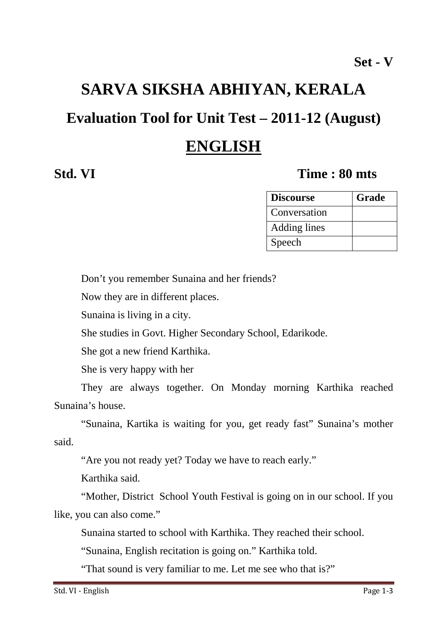# **SARVA SIKSHA ABHIYAN, KERALA**

## **Evaluation Tool for Unit Test – 2011-12 (August)**

## **ENGLISH**

#### **Std. VI** Time : 80 mts

| <b>Discourse</b> | Grade |
|------------------|-------|
| Conversation     |       |
| Adding lines     |       |
| Speech           |       |

Don't you remember Sunaina and her friends?

Now they are in different places.

Sunaina is living in a city.

She studies in Govt. Higher Secondary School, Edarikode.

She got a new friend Karthika.

She is very happy with her

They are always together. On Monday morning Karthika reached Sunaina's house.

"Sunaina, Kartika is waiting for you, get ready fast" Sunaina's mother said.

"Are you not ready yet? Today we have to reach early."

Karthika said.

"Mother, District School Youth Festival is going on in our school. If you like, you can also come."

Sunaina started to school with Karthika. They reached their school.

"Sunaina, English recitation is going on." Karthika told.

"That sound is very familiar to me. Let me see who that is?"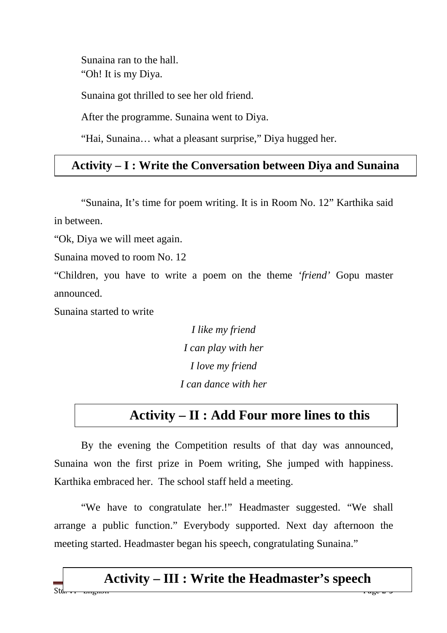Sunaina ran to the hall. "Oh! It is my Diya.

Sunaina got thrilled to see her old friend.

After the programme. Sunaina went to Diya.

"Hai, Sunaina… what a pleasant surprise," Diya hugged her.

#### **Activity – I : Write the Conversation between Diya and Sunaina**

 "Sunaina, It's time for poem writing. It is in Room No. 12" Karthika said in between.

"Ok, Diya we will meet again.

Sunaina moved to room No. 12

"Children, you have to write a poem on the theme *'friend'* Gopu master announced.

Sunaina started to write

*I like my friend I can play with her I love my friend I can dance with her* 

### **Activity – II : Add Four more lines to this**

By the evening the Competition results of that day was announced, Sunaina won the first prize in Poem writing, She jumped with happiness. Karthika embraced her. The school staff held a meeting.

"We have to congratulate her.!" Headmaster suggested. "We shall arrange a public function." Everybody supported. Next day afternoon the meeting started. Headmaster began his speech, congratulating Sunaina."

#### Std<del>. v1 - English Page 2-3</del> **Activity – III : Write the Headmaster's speech**